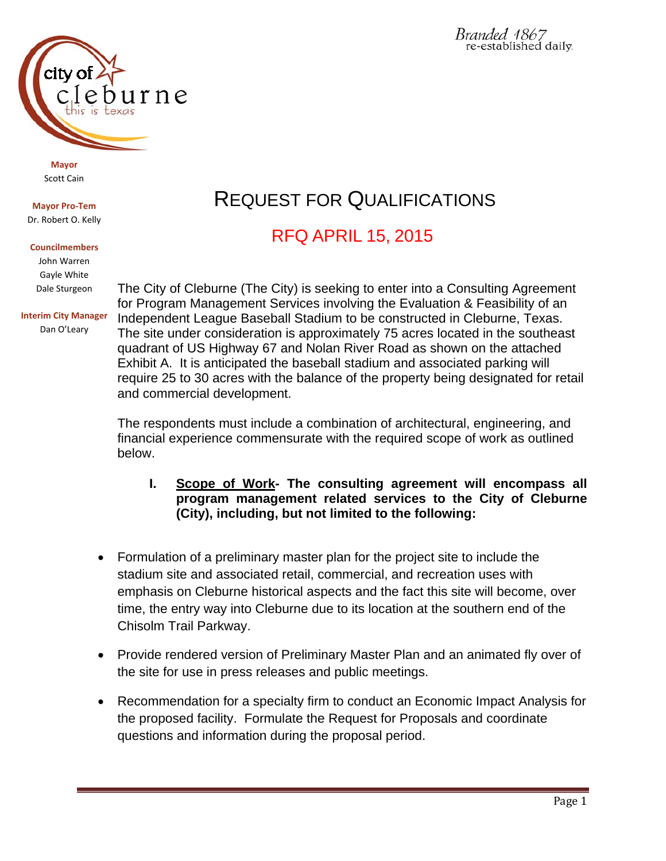

# REQUEST FOR QUALIFICATIONS

## RFQ APRIL 15, 2015

The City of Cleburne (The City) is seeking to enter into a Consulting Agreement for Program Management Services involving the Evaluation & Feasibility of an Independent League Baseball Stadium to be constructed in Cleburne, Texas. The site under consideration is approximately 75 acres located in the southeast quadrant of US Highway 67 and Nolan River Road as shown on the attached Exhibit A. It is anticipated the baseball stadium and associated parking will require 25 to 30 acres with the balance of the property being designated for retail and commercial development.

The respondents must include a combination of architectural, engineering, and financial experience commensurate with the required scope of work as outlined below.

- **I. Scope of Work- The consulting agreement will encompass all program management related services to the City of Cleburne (City), including, but not limited to the following:**
- Formulation of a preliminary master plan for the project site to include the stadium site and associated retail, commercial, and recreation uses with emphasis on Cleburne historical aspects and the fact this site will become, over time, the entry way into Cleburne due to its location at the southern end of the Chisolm Trail Parkway.
- Provide rendered version of Preliminary Master Plan and an animated fly over of the site for use in press releases and public meetings.
- Recommendation for a specialty firm to conduct an Economic Impact Analysis for the proposed facility. Formulate the Request for Proposals and coordinate questions and information during the proposal period.

# $11r$ ne

**Mayor** Scott Cain

**Mayor Pro‐Tem** Dr. Robert O. Kelly

### **Councilmembers**

John Warren Gayle White Dale Sturgeon

**Interim City Manager** Dan O'Leary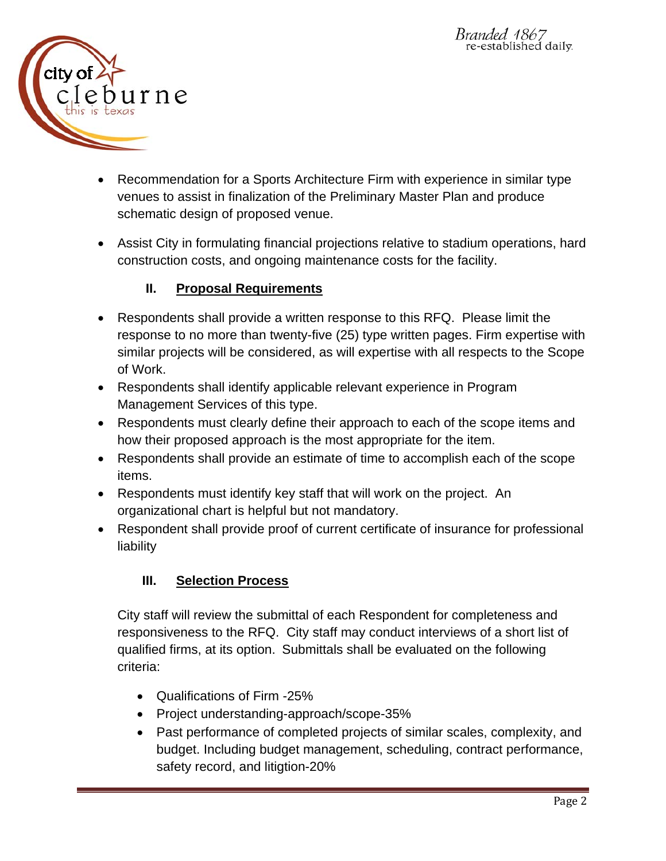

- Recommendation for a Sports Architecture Firm with experience in similar type venues to assist in finalization of the Preliminary Master Plan and produce schematic design of proposed venue.
- Assist City in formulating financial projections relative to stadium operations, hard construction costs, and ongoing maintenance costs for the facility.

### **II. Proposal Requirements**

- Respondents shall provide a written response to this RFQ. Please limit the response to no more than twenty-five (25) type written pages. Firm expertise with similar projects will be considered, as will expertise with all respects to the Scope of Work.
- Respondents shall identify applicable relevant experience in Program Management Services of this type.
- Respondents must clearly define their approach to each of the scope items and how their proposed approach is the most appropriate for the item.
- Respondents shall provide an estimate of time to accomplish each of the scope items.
- Respondents must identify key staff that will work on the project. An organizational chart is helpful but not mandatory.
- Respondent shall provide proof of current certificate of insurance for professional liability

### **III. Selection Process**

City staff will review the submittal of each Respondent for completeness and responsiveness to the RFQ. City staff may conduct interviews of a short list of qualified firms, at its option.Submittals shall be evaluated on the following criteria:

- Qualifications of Firm -25%
- Project understanding-approach/scope-35%
- Past performance of completed projects of similar scales, complexity, and budget. Including budget management, scheduling, contract performance, safety record, and litigtion-20%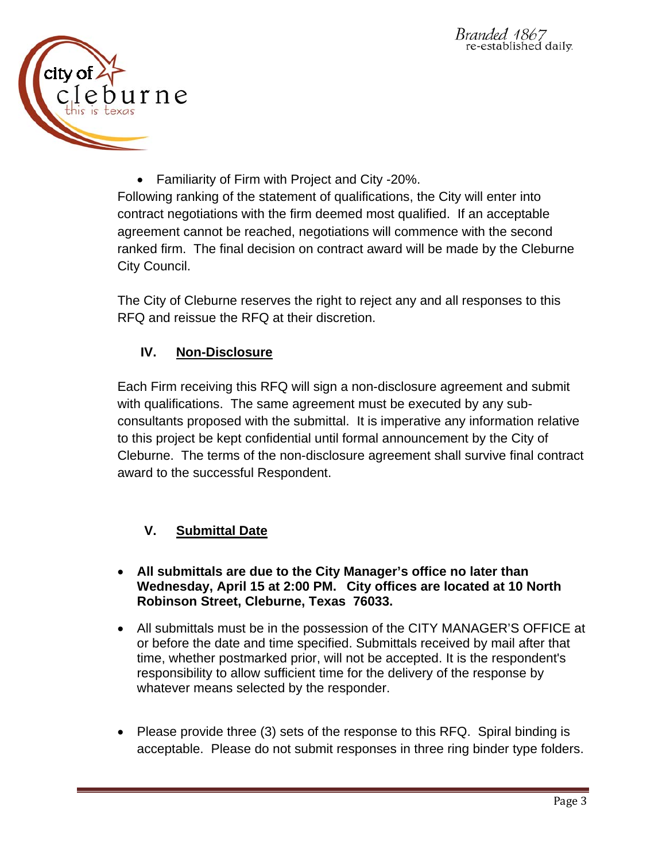

 Familiarity of Firm with Project and City -20%. Following ranking of the statement of qualifications, the City will enter into contract negotiations with the firm deemed most qualified. If an acceptable agreement cannot be reached, negotiations will commence with the second ranked firm. The final decision on contract award will be made by the Cleburne City Council.

The City of Cleburne reserves the right to reject any and all responses to this RFQ and reissue the RFQ at their discretion.

### **IV. Non-Disclosure**

Each Firm receiving this RFQ will sign a non-disclosure agreement and submit with qualifications. The same agreement must be executed by any subconsultants proposed with the submittal. It is imperative any information relative to this project be kept confidential until formal announcement by the City of Cleburne. The terms of the non-disclosure agreement shall survive final contract award to the successful Respondent.

### **V. Submittal Date**

- **All submittals are due to the City Manager's office no later than Wednesday, April 15 at 2:00 PM. City offices are located at 10 North Robinson Street, Cleburne, Texas 76033.**
- All submittals must be in the possession of the CITY MANAGER'S OFFICE at or before the date and time specified. Submittals received by mail after that time, whether postmarked prior, will not be accepted. It is the respondent's responsibility to allow sufficient time for the delivery of the response by whatever means selected by the responder.
- Please provide three (3) sets of the response to this RFQ. Spiral binding is acceptable. Please do not submit responses in three ring binder type folders.